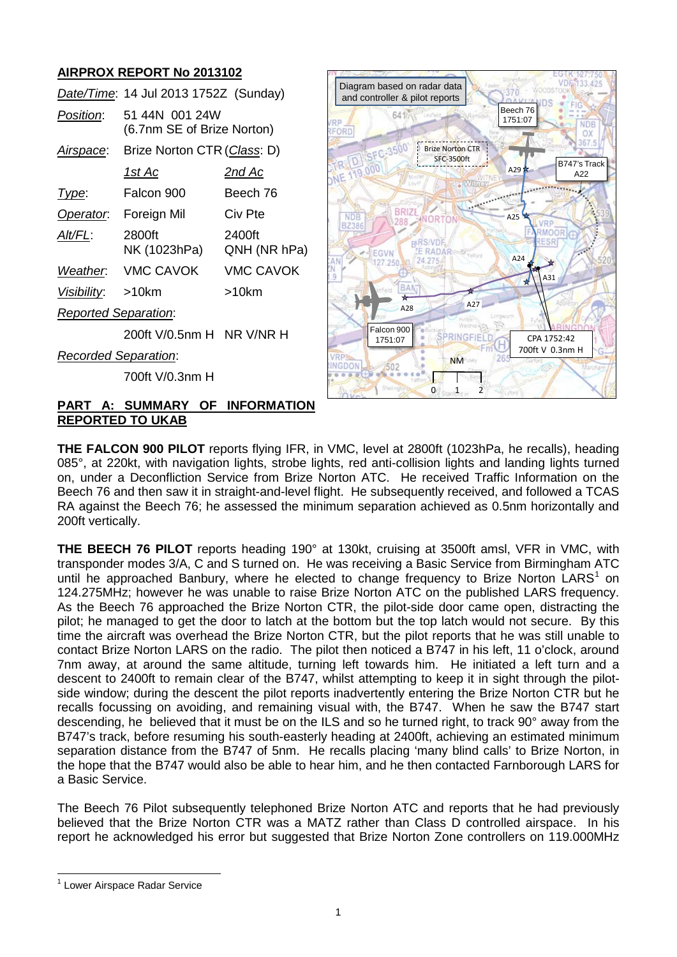# **AIRPROX REPORT No 2013102**

|                             | Date/Time: 14 Jul 2013 1752Z (Sunday)        |                        |
|-----------------------------|----------------------------------------------|------------------------|
| Position:                   | 51 44N 001 24W<br>(6.7nm SE of Brize Norton) |                        |
| Airspace:                   | Brize Norton CTR (Class: D)                  |                        |
|                             | 1st Ac                                       | 2nd Ac                 |
| Type:                       | Falcon 900                                   | Beech 76               |
| Operator.                   | Foreign Mil                                  | Civ Pte                |
| AIt/FL:                     | 2800ft<br>NK (1023hPa)                       | 2400ft<br>QNH (NR hPa) |
| Weather.                    | <b>VMC CAVOK</b>                             | <b>VMC CAVOK</b>       |
| Visibility: >10km           |                                              | >10km                  |
| <b>Reported Separation:</b> |                                              |                        |
|                             | 200ft V/0.5nm H NR V/NR H                    |                        |
| <b>Recorded Separation:</b> |                                              |                        |



700ft V/0.3nm H

#### **PART A: SUMMARY OF INFORMATION REPORTED TO UKAB**

**THE FALCON 900 PILOT** reports flying IFR, in VMC, level at 2800ft (1023hPa, he recalls), heading 085°, at 220kt, with navigation lights, strobe lights, red anti-collision lights and landing lights turned on, under a Deconfliction Service from Brize Norton ATC. He received Traffic Information on the Beech 76 and then saw it in straight-and-level flight. He subsequently received, and followed a TCAS RA against the Beech 76; he assessed the minimum separation achieved as 0.5nm horizontally and 200ft vertically.

**THE BEECH 76 PILOT** reports heading 190° at 130kt, cruising at 3500ft amsl, VFR in VMC, with transponder modes 3/A, C and S turned on. He was receiving a Basic Service from Birmingham ATC until he approached Banbury, where he elected to change frequency to Brize Norton  $LARS<sup>1</sup>$  $LARS<sup>1</sup>$  $LARS<sup>1</sup>$  on 124.275MHz; however he was unable to raise Brize Norton ATC on the published LARS frequency. As the Beech 76 approached the Brize Norton CTR, the pilot-side door came open, distracting the pilot; he managed to get the door to latch at the bottom but the top latch would not secure. By this time the aircraft was overhead the Brize Norton CTR, but the pilot reports that he was still unable to contact Brize Norton LARS on the radio. The pilot then noticed a B747 in his left, 11 o'clock, around 7nm away, at around the same altitude, turning left towards him. He initiated a left turn and a descent to 2400ft to remain clear of the B747, whilst attempting to keep it in sight through the pilotside window; during the descent the pilot reports inadvertently entering the Brize Norton CTR but he recalls focussing on avoiding, and remaining visual with, the B747. When he saw the B747 start descending, he believed that it must be on the ILS and so he turned right, to track 90° away from the B747's track, before resuming his south-easterly heading at 2400ft, achieving an estimated minimum separation distance from the B747 of 5nm. He recalls placing 'many blind calls' to Brize Norton, in the hope that the B747 would also be able to hear him, and he then contacted Farnborough LARS for a Basic Service.

The Beech 76 Pilot subsequently telephoned Brize Norton ATC and reports that he had previously believed that the Brize Norton CTR was a MATZ rather than Class D controlled airspace. In his report he acknowledged his error but suggested that Brize Norton Zone controllers on 119.000MHz

<span id="page-0-0"></span><sup>1</sup> Lower Airspace Radar Service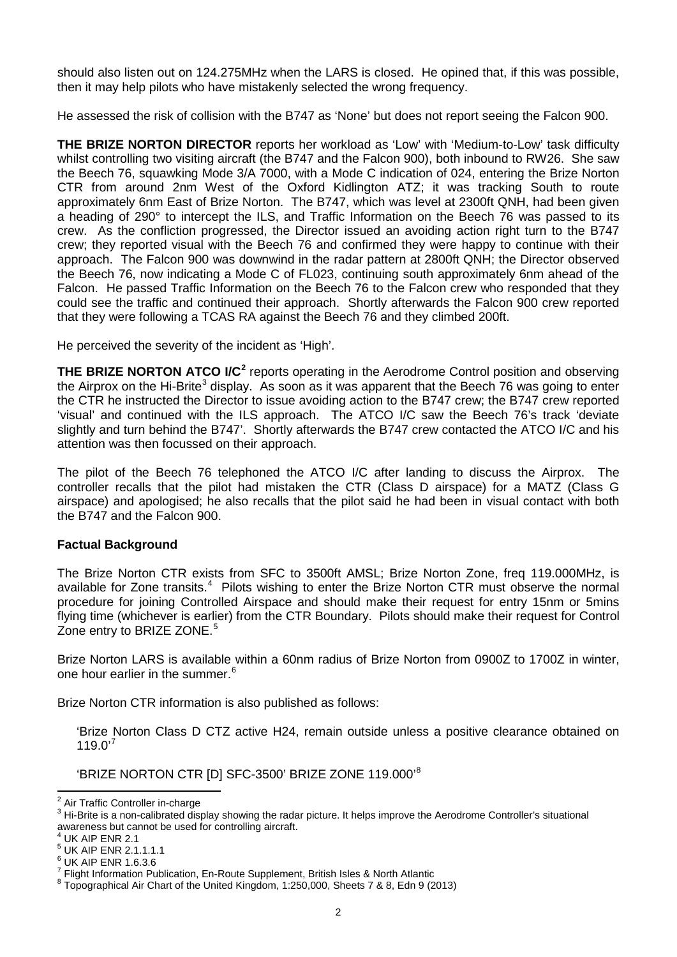should also listen out on 124.275MHz when the LARS is closed. He opined that, if this was possible, then it may help pilots who have mistakenly selected the wrong frequency.

He assessed the risk of collision with the B747 as 'None' but does not report seeing the Falcon 900.

**THE BRIZE NORTON DIRECTOR** reports her workload as 'Low' with 'Medium-to-Low' task difficulty whilst controlling two visiting aircraft (the B747 and the Falcon 900), both inbound to RW26. She saw the Beech 76, squawking Mode 3/A 7000, with a Mode C indication of 024, entering the Brize Norton CTR from around 2nm West of the Oxford Kidlington ATZ; it was tracking South to route approximately 6nm East of Brize Norton. The B747, which was level at 2300ft QNH, had been given a heading of 290° to intercept the ILS, and Traffic Information on the Beech 76 was passed to its crew. As the confliction progressed, the Director issued an avoiding action right turn to the B747 crew; they reported visual with the Beech 76 and confirmed they were happy to continue with their approach. The Falcon 900 was downwind in the radar pattern at 2800ft QNH; the Director observed the Beech 76, now indicating a Mode C of FL023, continuing south approximately 6nm ahead of the Falcon. He passed Traffic Information on the Beech 76 to the Falcon crew who responded that they could see the traffic and continued their approach. Shortly afterwards the Falcon 900 crew reported that they were following a TCAS RA against the Beech 76 and they climbed 200ft.

He perceived the severity of the incident as 'High'.

**THE BRIZE NORTON ATCO I/C<sup>[2](#page-1-0)</sup> reports operating in the Aerodrome Control position and observing** the Airprox on the Hi-Brite<sup>[3](#page-1-1)</sup> display. As soon as it was apparent that the Beech 76 was going to enter the CTR he instructed the Director to issue avoiding action to the B747 crew; the B747 crew reported 'visual' and continued with the ILS approach. The ATCO I/C saw the Beech 76's track 'deviate slightly and turn behind the B747'. Shortly afterwards the B747 crew contacted the ATCO I/C and his attention was then focussed on their approach.

The pilot of the Beech 76 telephoned the ATCO I/C after landing to discuss the Airprox. The controller recalls that the pilot had mistaken the CTR (Class D airspace) for a MATZ (Class G airspace) and apologised; he also recalls that the pilot said he had been in visual contact with both the B747 and the Falcon 900.

## **Factual Background**

The Brize Norton CTR exists from SFC to 3500ft AMSL; Brize Norton Zone, freq 119.000MHz, is available for Zone transits.<sup>[4](#page-1-2)</sup> Pilots wishing to enter the Brize Norton CTR must observe the normal procedure for joining Controlled Airspace and should make their request for entry 15nm or 5mins flying time (whichever is earlier) from the CTR Boundary. Pilots should make their request for Control Zone entry to BRIZE ZONE.<sup>[5](#page-1-3)</sup>

Brize Norton LARS is available within a 60nm radius of Brize Norton from 0900Z to 1700Z in winter, one hour earlier in the summer.<sup>[6](#page-1-4)</sup>

Brize Norton CTR information is also published as follows:

'Brize Norton Class D CTZ active H24, remain outside unless a positive clearance obtained on 119.0'<sup>[7](#page-1-5)</sup>

'BRIZE NORTON CTR [D] SFC-3500' BRIZE ZONE 119.000'[8](#page-1-6)

<span id="page-1-3"></span><span id="page-1-2"></span> $^{5}$  UK AIP ENR 2.1.1.1.1<br> $^{6}$  UK AIP ENR 1.6.3.6

<span id="page-1-1"></span><span id="page-1-0"></span><sup>&</sup>lt;sup>2</sup> Air Traffic Controller in-charge<br><sup>3</sup> Hi-Brite is a non-calibrated display showing the radar picture. It helps improve the Aerodrome Controller's situational awareness but cannot be used for controlling aircraft.<br><sup>4</sup> UK AIP ENR 2.1

<span id="page-1-4"></span>

<span id="page-1-6"></span><span id="page-1-5"></span><sup>&</sup>lt;sup>7</sup> Flight Information Publication, En-Route Supplement, British Isles & North Atlantic 8 Topographical Air Chart of the United Kingdom, 1:250,000, Sheets 7 & 8, Edn 9 (2013)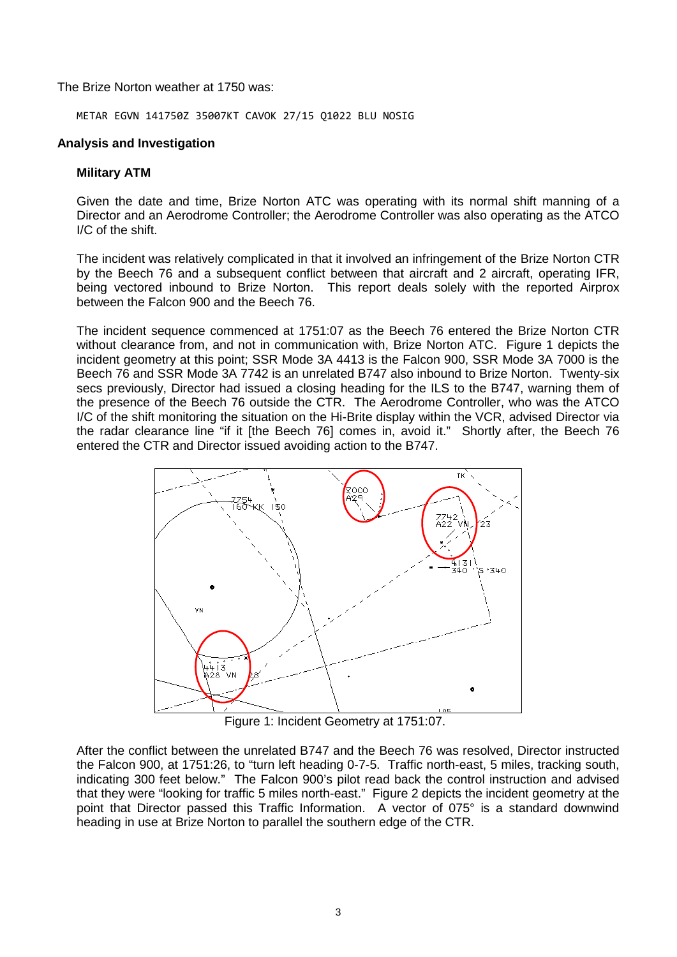The Brize Norton weather at 1750 was:

METAR EGVN 141750Z 35007KT CAVOK 27/15 Q1022 BLU NOSIG

#### **Analysis and Investigation**

#### **Military ATM**

Given the date and time, Brize Norton ATC was operating with its normal shift manning of a Director and an Aerodrome Controller; the Aerodrome Controller was also operating as the ATCO I/C of the shift.

The incident was relatively complicated in that it involved an infringement of the Brize Norton CTR by the Beech 76 and a subsequent conflict between that aircraft and 2 aircraft, operating IFR, being vectored inbound to Brize Norton. This report deals solely with the reported Airprox between the Falcon 900 and the Beech 76.

The incident sequence commenced at 1751:07 as the Beech 76 entered the Brize Norton CTR without clearance from, and not in communication with, Brize Norton ATC. Figure 1 depicts the incident geometry at this point; SSR Mode 3A 4413 is the Falcon 900, SSR Mode 3A 7000 is the Beech 76 and SSR Mode 3A 7742 is an unrelated B747 also inbound to Brize Norton. Twenty-six secs previously, Director had issued a closing heading for the ILS to the B747, warning them of the presence of the Beech 76 outside the CTR. The Aerodrome Controller, who was the ATCO I/C of the shift monitoring the situation on the Hi-Brite display within the VCR, advised Director via the radar clearance line "if it [the Beech 76] comes in, avoid it." Shortly after, the Beech 76 entered the CTR and Director issued avoiding action to the B747.



Figure 1: Incident Geometry at 1751:07.

After the conflict between the unrelated B747 and the Beech 76 was resolved, Director instructed the Falcon 900, at 1751:26, to "turn left heading 0-7-5. Traffic north-east, 5 miles, tracking south, indicating 300 feet below." The Falcon 900's pilot read back the control instruction and advised that they were "looking for traffic 5 miles north-east." Figure 2 depicts the incident geometry at the point that Director passed this Traffic Information. A vector of 075° is a standard downwind heading in use at Brize Norton to parallel the southern edge of the CTR.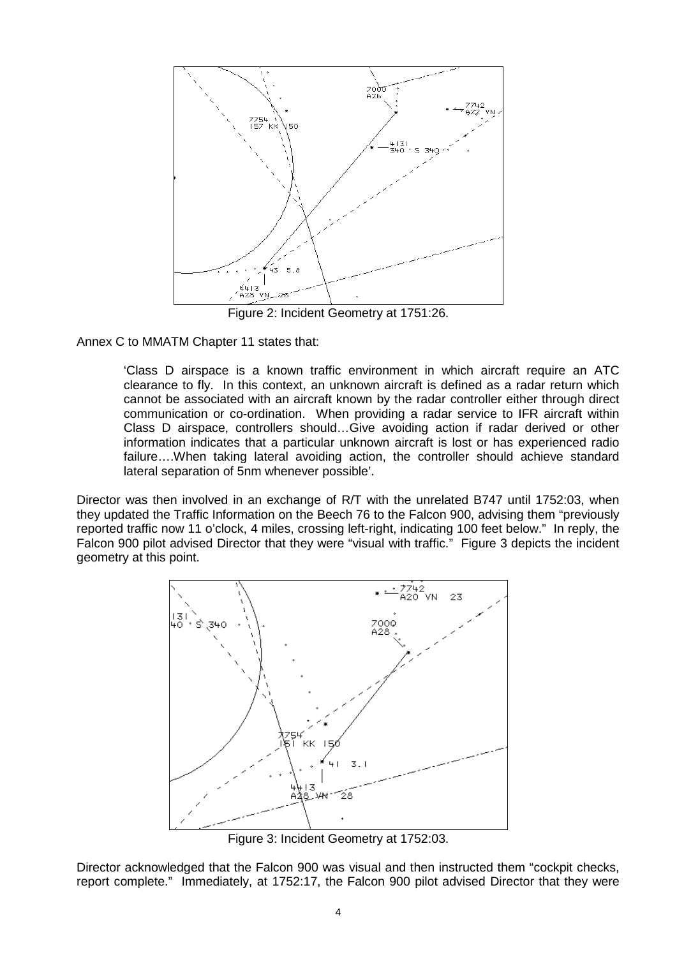

Figure 2: Incident Geometry at 1751:26.

Annex C to MMATM Chapter 11 states that:

'Class D airspace is a known traffic environment in which aircraft require an ATC clearance to fly. In this context, an unknown aircraft is defined as a radar return which cannot be associated with an aircraft known by the radar controller either through direct communication or co-ordination. When providing a radar service to IFR aircraft within Class D airspace, controllers should…Give avoiding action if radar derived or other information indicates that a particular unknown aircraft is lost or has experienced radio failure….When taking lateral avoiding action, the controller should achieve standard lateral separation of 5nm whenever possible'.

Director was then involved in an exchange of R/T with the unrelated B747 until 1752:03, when they updated the Traffic Information on the Beech 76 to the Falcon 900, advising them "previously reported traffic now 11 o'clock, 4 miles, crossing left-right, indicating 100 feet below." In reply, the Falcon 900 pilot advised Director that they were "visual with traffic." Figure 3 depicts the incident geometry at this point.



Figure 3: Incident Geometry at 1752:03.

Director acknowledged that the Falcon 900 was visual and then instructed them "cockpit checks, report complete." Immediately, at 1752:17, the Falcon 900 pilot advised Director that they were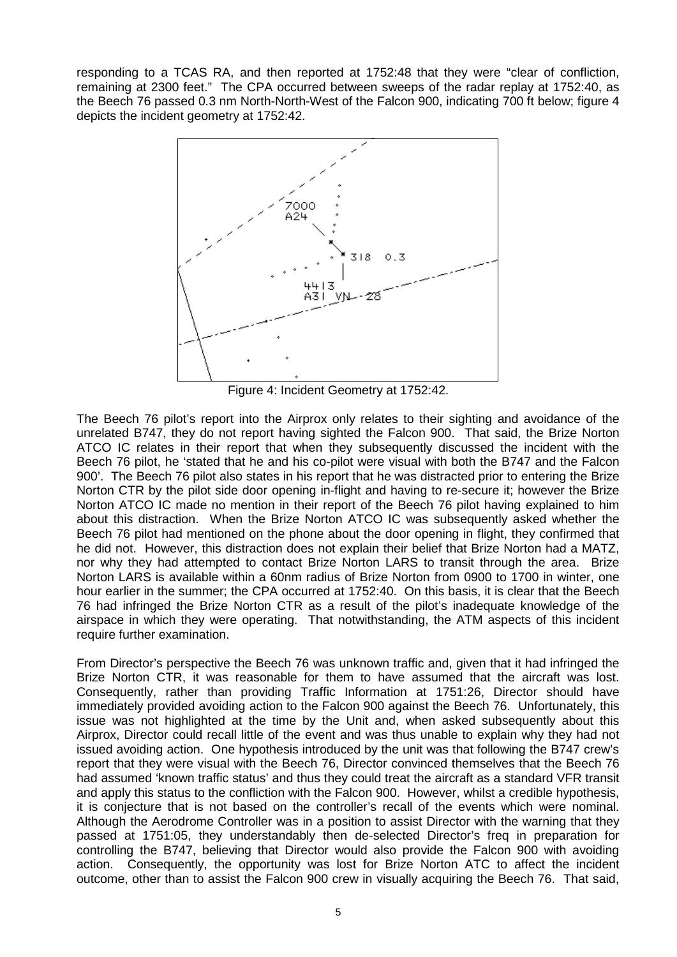responding to a TCAS RA, and then reported at 1752:48 that they were "clear of confliction, remaining at 2300 feet." The CPA occurred between sweeps of the radar replay at 1752:40, as the Beech 76 passed 0.3 nm North-North-West of the Falcon 900, indicating 700 ft below; figure 4 depicts the incident geometry at 1752:42.



Figure 4: Incident Geometry at 1752:42.

The Beech 76 pilot's report into the Airprox only relates to their sighting and avoidance of the unrelated B747, they do not report having sighted the Falcon 900. That said, the Brize Norton ATCO IC relates in their report that when they subsequently discussed the incident with the Beech 76 pilot, he 'stated that he and his co-pilot were visual with both the B747 and the Falcon 900'. The Beech 76 pilot also states in his report that he was distracted prior to entering the Brize Norton CTR by the pilot side door opening in-flight and having to re-secure it; however the Brize Norton ATCO IC made no mention in their report of the Beech 76 pilot having explained to him about this distraction. When the Brize Norton ATCO IC was subsequently asked whether the Beech 76 pilot had mentioned on the phone about the door opening in flight, they confirmed that he did not. However, this distraction does not explain their belief that Brize Norton had a MATZ, nor why they had attempted to contact Brize Norton LARS to transit through the area. Brize Norton LARS is available within a 60nm radius of Brize Norton from 0900 to 1700 in winter, one hour earlier in the summer; the CPA occurred at 1752:40. On this basis, it is clear that the Beech 76 had infringed the Brize Norton CTR as a result of the pilot's inadequate knowledge of the airspace in which they were operating. That notwithstanding, the ATM aspects of this incident require further examination.

From Director's perspective the Beech 76 was unknown traffic and, given that it had infringed the Brize Norton CTR, it was reasonable for them to have assumed that the aircraft was lost. Consequently, rather than providing Traffic Information at 1751:26, Director should have immediately provided avoiding action to the Falcon 900 against the Beech 76. Unfortunately, this issue was not highlighted at the time by the Unit and, when asked subsequently about this Airprox, Director could recall little of the event and was thus unable to explain why they had not issued avoiding action. One hypothesis introduced by the unit was that following the B747 crew's report that they were visual with the Beech 76, Director convinced themselves that the Beech 76 had assumed 'known traffic status' and thus they could treat the aircraft as a standard VFR transit and apply this status to the confliction with the Falcon 900. However, whilst a credible hypothesis, it is conjecture that is not based on the controller's recall of the events which were nominal. Although the Aerodrome Controller was in a position to assist Director with the warning that they passed at 1751:05, they understandably then de-selected Director's freq in preparation for controlling the B747, believing that Director would also provide the Falcon 900 with avoiding action. Consequently, the opportunity was lost for Brize Norton ATC to affect the incident outcome, other than to assist the Falcon 900 crew in visually acquiring the Beech 76. That said,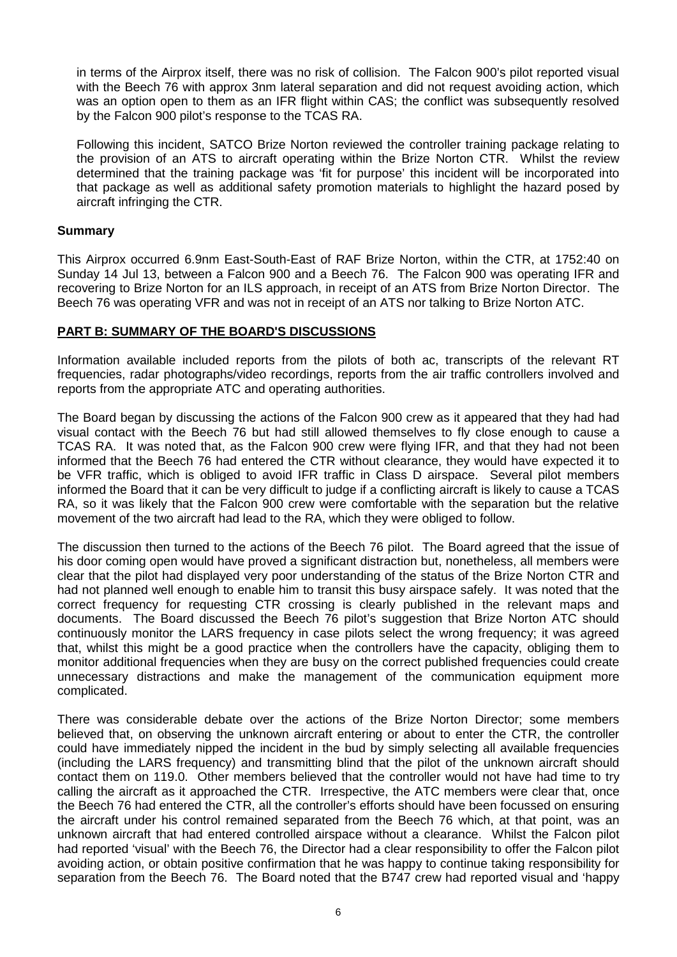in terms of the Airprox itself, there was no risk of collision. The Falcon 900's pilot reported visual with the Beech 76 with approx 3nm lateral separation and did not request avoiding action, which was an option open to them as an IFR flight within CAS; the conflict was subsequently resolved by the Falcon 900 pilot's response to the TCAS RA.

Following this incident, SATCO Brize Norton reviewed the controller training package relating to the provision of an ATS to aircraft operating within the Brize Norton CTR. Whilst the review determined that the training package was 'fit for purpose' this incident will be incorporated into that package as well as additional safety promotion materials to highlight the hazard posed by aircraft infringing the CTR.

## **Summary**

This Airprox occurred 6.9nm East-South-East of RAF Brize Norton, within the CTR, at 1752:40 on Sunday 14 Jul 13, between a Falcon 900 and a Beech 76. The Falcon 900 was operating IFR and recovering to Brize Norton for an ILS approach, in receipt of an ATS from Brize Norton Director. The Beech 76 was operating VFR and was not in receipt of an ATS nor talking to Brize Norton ATC.

## **PART B: SUMMARY OF THE BOARD'S DISCUSSIONS**

Information available included reports from the pilots of both ac, transcripts of the relevant RT frequencies, radar photographs/video recordings, reports from the air traffic controllers involved and reports from the appropriate ATC and operating authorities.

The Board began by discussing the actions of the Falcon 900 crew as it appeared that they had had visual contact with the Beech 76 but had still allowed themselves to fly close enough to cause a TCAS RA. It was noted that, as the Falcon 900 crew were flying IFR, and that they had not been informed that the Beech 76 had entered the CTR without clearance, they would have expected it to be VFR traffic, which is obliged to avoid IFR traffic in Class D airspace. Several pilot members informed the Board that it can be very difficult to judge if a conflicting aircraft is likely to cause a TCAS RA, so it was likely that the Falcon 900 crew were comfortable with the separation but the relative movement of the two aircraft had lead to the RA, which they were obliged to follow.

The discussion then turned to the actions of the Beech 76 pilot. The Board agreed that the issue of his door coming open would have proved a significant distraction but, nonetheless, all members were clear that the pilot had displayed very poor understanding of the status of the Brize Norton CTR and had not planned well enough to enable him to transit this busy airspace safely. It was noted that the correct frequency for requesting CTR crossing is clearly published in the relevant maps and documents. The Board discussed the Beech 76 pilot's suggestion that Brize Norton ATC should continuously monitor the LARS frequency in case pilots select the wrong frequency; it was agreed that, whilst this might be a good practice when the controllers have the capacity, obliging them to monitor additional frequencies when they are busy on the correct published frequencies could create unnecessary distractions and make the management of the communication equipment more complicated.

There was considerable debate over the actions of the Brize Norton Director; some members believed that, on observing the unknown aircraft entering or about to enter the CTR, the controller could have immediately nipped the incident in the bud by simply selecting all available frequencies (including the LARS frequency) and transmitting blind that the pilot of the unknown aircraft should contact them on 119.0. Other members believed that the controller would not have had time to try calling the aircraft as it approached the CTR. Irrespective, the ATC members were clear that, once the Beech 76 had entered the CTR, all the controller's efforts should have been focussed on ensuring the aircraft under his control remained separated from the Beech 76 which, at that point, was an unknown aircraft that had entered controlled airspace without a clearance. Whilst the Falcon pilot had reported 'visual' with the Beech 76, the Director had a clear responsibility to offer the Falcon pilot avoiding action, or obtain positive confirmation that he was happy to continue taking responsibility for separation from the Beech 76. The Board noted that the B747 crew had reported visual and 'happy